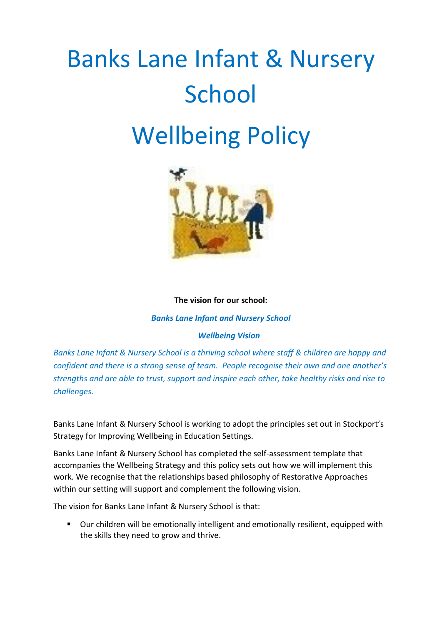# Banks Lane Infant & Nursery School Wellbeing Policy



#### **The vision for our school:**

*Banks Lane Infant and Nursery School*

## *Wellbeing Vision*

*Banks Lane Infant & Nursery School is a thriving school where staff & children are happy and confident and there is a strong sense of team. People recognise their own and one another's strengths and are able to trust, support and inspire each other, take healthy risks and rise to challenges.*

Banks Lane Infant & Nursery School is working to adopt the principles set out in Stockport's Strategy for Improving Wellbeing in Education Settings.

Banks Lane Infant & Nursery School has completed the self-assessment template that accompanies the Wellbeing Strategy and this policy sets out how we will implement this work. We recognise that the relationships based philosophy of Restorative Approaches within our setting will support and complement the following vision.

The vision for Banks Lane Infant & Nursery School is that:

 Our children will be emotionally intelligent and emotionally resilient, equipped with the skills they need to grow and thrive.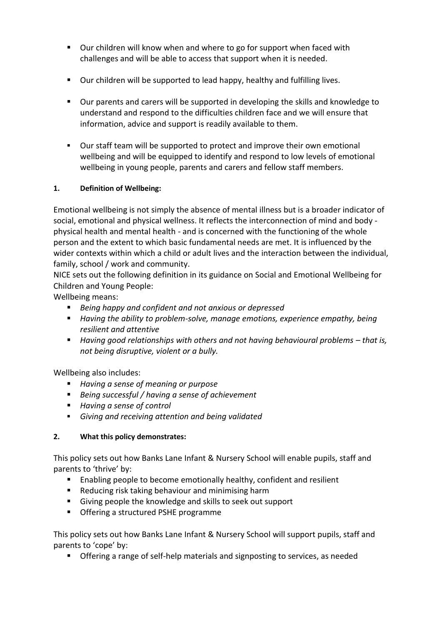- Our children will know when and where to go for support when faced with challenges and will be able to access that support when it is needed.
- Our children will be supported to lead happy, healthy and fulfilling lives.
- Our parents and carers will be supported in developing the skills and knowledge to understand and respond to the difficulties children face and we will ensure that information, advice and support is readily available to them.
- Our staff team will be supported to protect and improve their own emotional wellbeing and will be equipped to identify and respond to low levels of emotional wellbeing in young people, parents and carers and fellow staff members.

## **1. Definition of Wellbeing:**

Emotional wellbeing is not simply the absence of mental illness but is a broader indicator of social, emotional and physical wellness. It reflects the interconnection of mind and body physical health and mental health - and is concerned with the functioning of the whole person and the extent to which basic fundamental needs are met. It is influenced by the wider contexts within which a child or adult lives and the interaction between the individual, family, school / work and community.

NICE sets out the following definition in its guidance on Social and Emotional Wellbeing for Children and Young People:

Wellbeing means:

- *Being happy and confident and not anxious or depressed*
- *Having the ability to problem-solve, manage emotions, experience empathy, being resilient and attentive*
- **Having good relationships with others and not having behavioural problems that is,** *not being disruptive, violent or a bully.*

Wellbeing also includes:

- *Having a sense of meaning or purpose*
- *Being successful / having a sense of achievement*
- *Having a sense of control*
- *Giving and receiving attention and being validated*

## **2. What this policy demonstrates:**

This policy sets out how Banks Lane Infant & Nursery School will enable pupils, staff and parents to 'thrive' by:

- Enabling people to become emotionally healthy, confident and resilient
- **Reducing risk taking behaviour and minimising harm**
- Giving people the knowledge and skills to seek out support
- **Offering a structured PSHE programme**

This policy sets out how Banks Lane Infant & Nursery School will support pupils, staff and parents to 'cope' by:

**•** Offering a range of self-help materials and signposting to services, as needed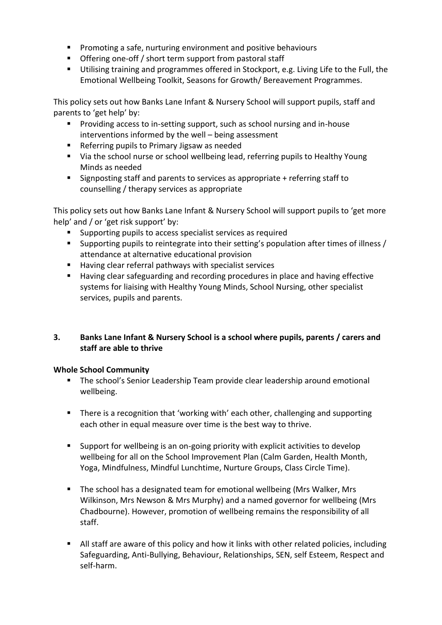- **Promoting a safe, nurturing environment and positive behaviours**
- **•** Offering one-off / short term support from pastoral staff
- Utilising training and programmes offered in Stockport, e.g. Living Life to the Full, the Emotional Wellbeing Toolkit, Seasons for Growth/ Bereavement Programmes.

This policy sets out how Banks Lane Infant & Nursery School will support pupils, staff and parents to 'get help' by:

- **Providing access to in-setting support, such as school nursing and in-house** interventions informed by the well – being assessment
- Referring pupils to Primary Jigsaw as needed
- **UPE 10** Via the school nurse or school wellbeing lead, referring pupils to Healthy Young Minds as needed
- Signposting staff and parents to services as appropriate + referring staff to counselling / therapy services as appropriate

This policy sets out how Banks Lane Infant & Nursery School will support pupils to 'get more help' and / or 'get risk support' by:

- Supporting pupils to access specialist services as required
- Supporting pupils to reintegrate into their setting's population after times of illness / attendance at alternative educational provision
- Having clear referral pathways with specialist services
- Having clear safeguarding and recording procedures in place and having effective systems for liaising with Healthy Young Minds, School Nursing, other specialist services, pupils and parents.

## **3. Banks Lane Infant & Nursery School is a school where pupils, parents / carers and staff are able to thrive**

## **Whole School Community**

- The school's Senior Leadership Team provide clear leadership around emotional wellbeing.
- There is a recognition that 'working with' each other, challenging and supporting each other in equal measure over time is the best way to thrive.
- Support for wellbeing is an on-going priority with explicit activities to develop wellbeing for all on the School Improvement Plan (Calm Garden, Health Month, Yoga, Mindfulness, Mindful Lunchtime, Nurture Groups, Class Circle Time).
- **The school has a designated team for emotional wellbeing (Mrs Walker, Mrs** Wilkinson, Mrs Newson & Mrs Murphy) and a named governor for wellbeing (Mrs Chadbourne). However, promotion of wellbeing remains the responsibility of all staff.
- All staff are aware of this policy and how it links with other related policies, including Safeguarding, Anti-Bullying, Behaviour, Relationships, SEN, self Esteem, Respect and self-harm.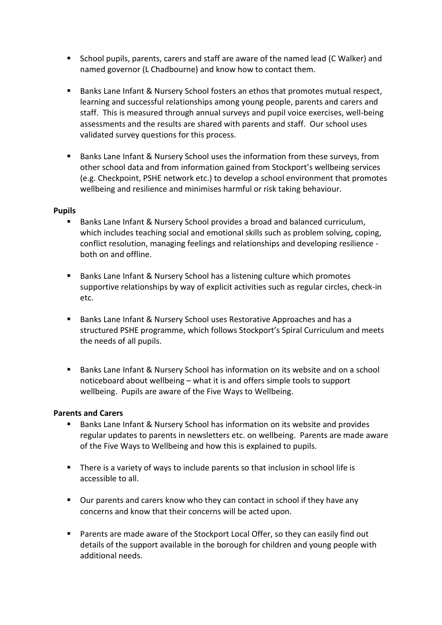- School pupils, parents, carers and staff are aware of the named lead (C Walker) and named governor (L Chadbourne) and know how to contact them.
- Banks Lane Infant & Nursery School fosters an ethos that promotes mutual respect, learning and successful relationships among young people, parents and carers and staff. This is measured through annual surveys and pupil voice exercises, well-being assessments and the results are shared with parents and staff. Our school uses validated survey questions for this process.
- Banks Lane Infant & Nursery School uses the information from these surveys, from other school data and from information gained from Stockport's wellbeing services (e.g. Checkpoint, PSHE network etc.) to develop a school environment that promotes wellbeing and resilience and minimises harmful or risk taking behaviour.

#### **Pupils**

- Banks Lane Infant & Nursery School provides a broad and balanced curriculum, which includes teaching social and emotional skills such as problem solving, coping, conflict resolution, managing feelings and relationships and developing resilience both on and offline.
- Banks Lane Infant & Nursery School has a listening culture which promotes supportive relationships by way of explicit activities such as regular circles, check-in etc.
- Banks Lane Infant & Nursery School uses Restorative Approaches and has a structured PSHE programme, which follows Stockport's Spiral Curriculum and meets the needs of all pupils.
- Banks Lane Infant & Nursery School has information on its website and on a school noticeboard about wellbeing – what it is and offers simple tools to support wellbeing. Pupils are aware of the Five Ways to Wellbeing.

## **Parents and Carers**

- Banks Lane Infant & Nursery School has information on its website and provides regular updates to parents in newsletters etc. on wellbeing. Parents are made aware of the Five Ways to Wellbeing and how this is explained to pupils.
- There is a variety of ways to include parents so that inclusion in school life is accessible to all.
- Our parents and carers know who they can contact in school if they have any concerns and know that their concerns will be acted upon.
- Parents are made aware of the Stockport Local Offer, so they can easily find out details of the support available in the borough for children and young people with additional needs.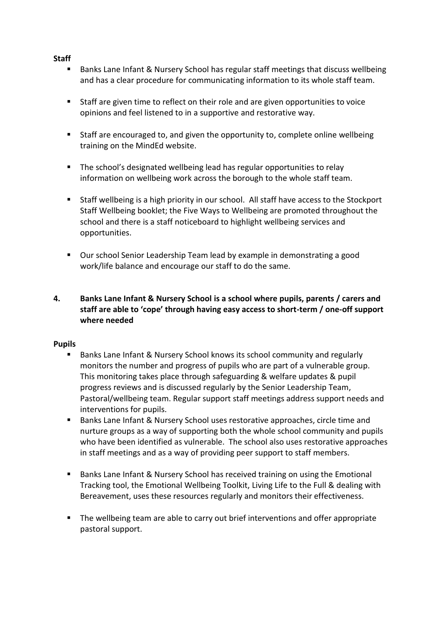#### **Staff**

- Banks Lane Infant & Nursery School has regular staff meetings that discuss wellbeing and has a clear procedure for communicating information to its whole staff team.
- Staff are given time to reflect on their role and are given opportunities to voice opinions and feel listened to in a supportive and restorative way.
- Staff are encouraged to, and given the opportunity to, complete online wellbeing training on the MindEd website.
- The school's designated wellbeing lead has regular opportunities to relay information on wellbeing work across the borough to the whole staff team.
- Staff wellbeing is a high priority in our school. All staff have access to the Stockport Staff Wellbeing booklet; the Five Ways to Wellbeing are promoted throughout the school and there is a staff noticeboard to highlight wellbeing services and opportunities.
- Our school Senior Leadership Team lead by example in demonstrating a good work/life balance and encourage our staff to do the same.

## **4. Banks Lane Infant & Nursery School is a school where pupils, parents / carers and staff are able to 'cope' through having easy access to short-term / one-off support where needed**

#### **Pupils**

- Banks Lane Infant & Nursery School knows its school community and regularly monitors the number and progress of pupils who are part of a vulnerable group. This monitoring takes place through safeguarding & welfare updates & pupil progress reviews and is discussed regularly by the Senior Leadership Team, Pastoral/wellbeing team. Regular support staff meetings address support needs and interventions for pupils.
- Banks Lane Infant & Nursery School uses restorative approaches, circle time and nurture groups as a way of supporting both the whole school community and pupils who have been identified as vulnerable. The school also uses restorative approaches in staff meetings and as a way of providing peer support to staff members.
- Banks Lane Infant & Nursery School has received training on using the Emotional Tracking tool, the Emotional Wellbeing Toolkit, Living Life to the Full & dealing with Bereavement, uses these resources regularly and monitors their effectiveness.
- The wellbeing team are able to carry out brief interventions and offer appropriate pastoral support.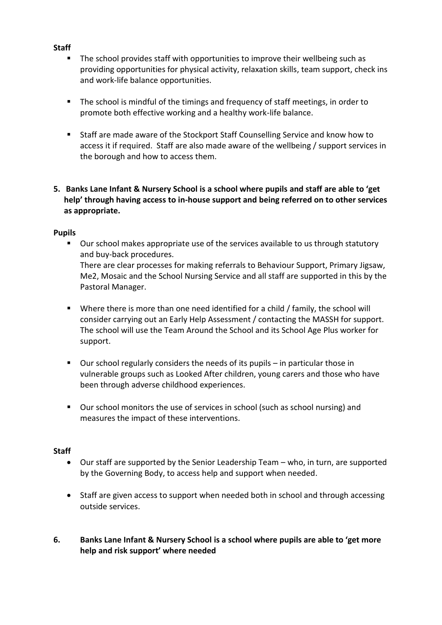#### **Staff**

- The school provides staff with opportunities to improve their wellbeing such as providing opportunities for physical activity, relaxation skills, team support, check ins and work-life balance opportunities.
- The school is mindful of the timings and frequency of staff meetings, in order to promote both effective working and a healthy work-life balance.
- Staff are made aware of the Stockport Staff Counselling Service and know how to access it if required. Staff are also made aware of the wellbeing / support services in the borough and how to access them.
- **5. Banks Lane Infant & Nursery School is a school where pupils and staff are able to 'get help' through having access to in-house support and being referred on to other services as appropriate.**

#### **Pupils**

- Our school makes appropriate use of the services available to us through statutory and buy-back procedures. There are clear processes for making referrals to Behaviour Support, Primary Jigsaw, Me2, Mosaic and the School Nursing Service and all staff are supported in this by the Pastoral Manager.
- Where there is more than one need identified for a child / family, the school will consider carrying out an Early Help Assessment / contacting the MASSH for support. The school will use the Team Around the School and its School Age Plus worker for support.
- Our school regularly considers the needs of its pupils in particular those in vulnerable groups such as Looked After children, young carers and those who have been through adverse childhood experiences.
- Our school monitors the use of services in school (such as school nursing) and measures the impact of these interventions.

#### **Staff**

- Our staff are supported by the Senior Leadership Team who, in turn, are supported by the Governing Body, to access help and support when needed.
- Staff are given access to support when needed both in school and through accessing outside services.
- **6. Banks Lane Infant & Nursery School is a school where pupils are able to 'get more help and risk support' where needed**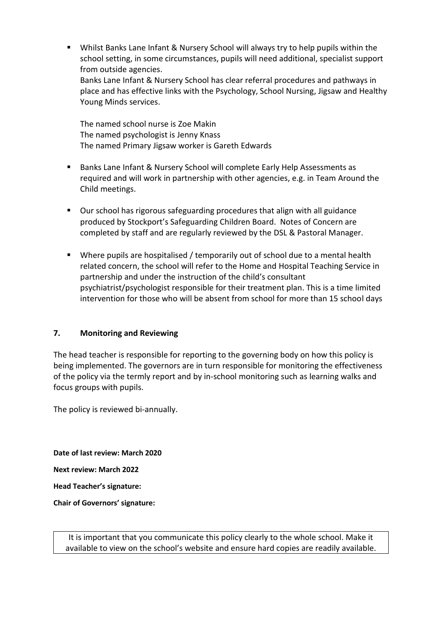Whilst Banks Lane Infant & Nursery School will always try to help pupils within the school setting, in some circumstances, pupils will need additional, specialist support from outside agencies. Banks Lane Infant & Nursery School has clear referral procedures and pathways in place and has effective links with the Psychology, School Nursing, Jigsaw and Healthy

The named school nurse is Zoe Makin The named psychologist is Jenny Knass The named Primary Jigsaw worker is Gareth Edwards

- Banks Lane Infant & Nursery School will complete Early Help Assessments as required and will work in partnership with other agencies, e.g. in Team Around the Child meetings.
- Our school has rigorous safeguarding procedures that align with all guidance produced by Stockport's Safeguarding Children Board. Notes of Concern are completed by staff and are regularly reviewed by the DSL & Pastoral Manager.
- Where pupils are hospitalised / temporarily out of school due to a mental health related concern, the school will refer to the Home and Hospital Teaching Service in partnership and under the instruction of the child's consultant psychiatrist/psychologist responsible for their treatment plan. This is a time limited intervention for those who will be absent from school for more than 15 school days

## **7. Monitoring and Reviewing**

Young Minds services.

The head teacher is responsible for reporting to the governing body on how this policy is being implemented. The governors are in turn responsible for monitoring the effectiveness of the policy via the termly report and by in-school monitoring such as learning walks and focus groups with pupils.

The policy is reviewed bi-annually.

**Date of last review: March 2020 Next review: March 2022 Head Teacher's signature: Chair of Governors' signature:**

> It is important that you communicate this policy clearly to the whole school. Make it available to view on the school's website and ensure hard copies are readily available.